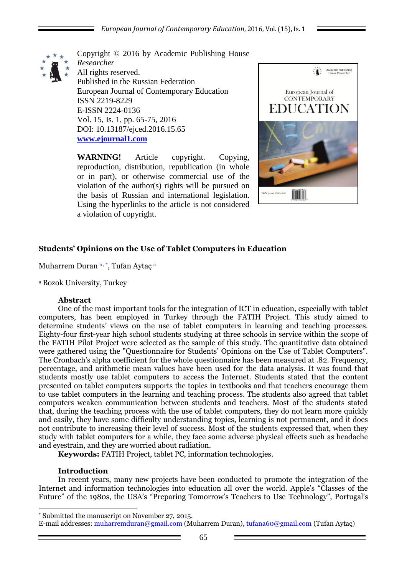

Copyright © 2016 by Academic Publishing House *Researcher* All rights reserved. Published in the Russian Federation European Journal of Contemporary Education ISSN 2219-8229 E-ISSN 2224-0136 Vol. 15, Is. 1, pp. 65-75, 2016 DOI: 10.13187/ejced.2016.15.65 **[www.ejournal1.com](http://www.ejournal1.com/)**

**WARNING!** Article copyright. Copying, reproduction, distribution, republication (in whole or in part), or otherwise commercial use of the violation of the author(s) rights will be pursued on the basis of Russian and international legislation. Using the hyperlinks to the article is not considered a violation of copyright.



# **Students' Opinions on the Use of Tablet Computers in Education**

Muharrem Duran a, \*, Tufan Aytaç a

<sup>a</sup> Bozok University, Turkey

#### **Abstract**

One of the most important tools for the integration of ICT in education, especially with tablet computers, has been employed in Turkey through the FATIH Project. This study aimed to determine students' views on the use of tablet computers in learning and teaching processes. Eighty-four first-year high school students studying at three schools in service within the scope of the FATIH Pilot Project were selected as the sample of this study. The quantitative data obtained were gathered using the "Questionnaire for Students' Opinions on the Use of Tablet Computers". The Cronbach's alpha coefficient for the whole questionnaire has been measured at .82. Frequency, percentage, and arithmetic mean values have been used for the data analysis. It was found that students mostly use tablet computers to access the Internet. Students stated that the content presented on tablet computers supports the topics in textbooks and that teachers encourage them to use tablet computers in the learning and teaching process. The students also agreed that tablet computers weaken communication between students and teachers. Most of the students stated that, during the teaching process with the use of tablet computers, they do not learn more quickly and easily, they have some difficulty understanding topics, learning is not permanent, and it does not contribute to increasing their level of success. Most of the students expressed that, when they study with tablet computers for a while, they face some adverse physical effects such as headache and eyestrain, and they are worried about radiation.

**Keywords:** FATIH Project, tablet PC, information technologies.

#### **Introduction**

In recent years, many new projects have been conducted to promote the integration of the Internet and information technologies into education all over the world. Apple's "Classes of the Future" of the 1980s, the USA's "Preparing Tomorrow's Teachers to Use Technology", Portugal's

<sup>1</sup> \* Submitted the manuscript on November 27, 2015.

E-mail addresses: muharremduran@gmail.com (Muharrem Duran), tufana60@gmail.com (Tufan Aytaç)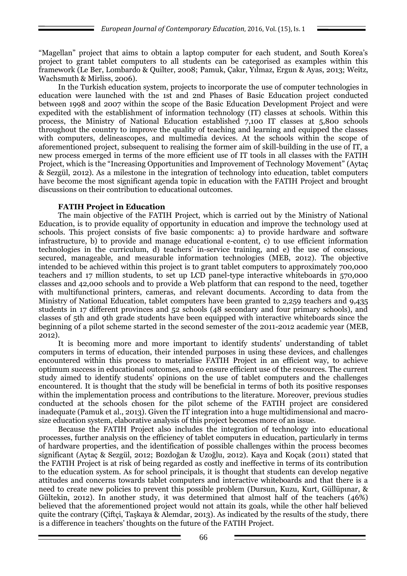"Magellan" project that aims to obtain a laptop computer for each student, and South Korea's project to grant tablet computers to all students can be categorised as examples within this framework (Le Ber, Lombardo & Quilter, 2008; Pamuk, Çakır, Yılmaz, Ergun & Ayas, 2013; Weitz, Wachsmuth & Mirliss, 2006).

In the Turkish education system, projects to incorporate the use of computer technologies in education were launched with the 1st and 2nd Phases of Basic Education project conducted between 1998 and 2007 within the scope of the Basic Education Development Project and were expedited with the establishment of information technology (IT) classes at schools. Within this process, the Ministry of National Education established 7,100 IT classes at 5,800 schools throughout the country to improve the quality of teaching and learning and equipped the classes with computers, delineascopes, and multimedia devices. At the schools within the scope of aforementioned project, subsequent to realising the former aim of skill-building in the use of IT, a new process emerged in terms of the more efficient use of IT tools in all classes with the FATIH Project, which is the "Increasing Opportunities and Improvement of Technology Movement" (Aytac & Sezgül, 2012). As a milestone in the integration of technology into education, tablet computers have become the most significant agenda topic in education with the FATIH Project and brought discussions on their contribution to educational outcomes.

# **FATIH Project in Education**

The main objective of the FATIH Project, which is carried out by the Ministry of National Education, is to provide equality of opportunity in education and improve the technology used at schools. This project consists of five basic components: a) to provide hardware and software infrastructure, b) to provide and manage educational e-content, c) to use efficient information technologies in the curriculum, d) teachers' in-service training, and e) the use of conscious, secured, manageable, and measurable information technologies (MEB, 2012). The objective intended to be achieved within this project is to grant tablet computers to approximately 700,000 teachers and 17 million students, to set up LCD panel-type interactive whiteboards in 570,000 classes and 42,000 schools and to provide a Web platform that can respond to the need, together with multifunctional printers, cameras, and relevant documents. According to data from the Ministry of National Education, tablet computers have been granted to 2,259 teachers and 9,435 students in 17 different provinces and 52 schools (48 secondary and four primary schools), and classes of 5th and 9th grade students have been equipped with interactive whiteboards since the beginning of a pilot scheme started in the second semester of the 2011-2012 academic year (MEB, 2012).

It is becoming more and more important to identify students' understanding of tablet computers in terms of education, their intended purposes in using these devices, and challenges encountered within this process to materialise FATIH Project in an efficient way, to achieve optimum success in educational outcomes, and to ensure efficient use of the resources. The current study aimed to identify students' opinions on the use of tablet computers and the challenges encountered. It is thought that the study will be beneficial in terms of both its positive responses within the implementation process and contributions to the literature. Moreover, previous studies conducted at the schools chosen for the pilot scheme of the FATIH project are considered inadequate (Pamuk et al., 2013). Given the IT integration into a huge multidimensional and macrosize education system, elaborative analysis of this project becomes more of an issue.

Because the FATIH Project also includes the integration of technology into educational processes, further analysis on the efficiency of tablet computers in education, particularly in terms of hardware properties, and the identification of possible challenges within the process becomes significant (Aytaç & Sezgül, 2012; Bozdoğan & Uzoğlu, 2012). Kaya and Koçak (2011) stated that the FATIH Project is at risk of being regarded as costly and ineffective in terms of its contribution to the education system. As for school principals, it is thought that students can develop negative attitudes and concerns towards tablet computers and interactive whiteboards and that there is a need to create new policies to prevent this possible problem (Dursun, Kuzu, Kurt, Güllüpınar, & Gültekin, 2012). In another study, it was determined that almost half of the teachers (46%) believed that the aforementioned project would not attain its goals, while the other half believed quite the contrary (Çiftçi, Taşkaya & Alemdar, 2013). As indicated by the results of the study, there is a difference in teachers' thoughts on the future of the FATIH Project.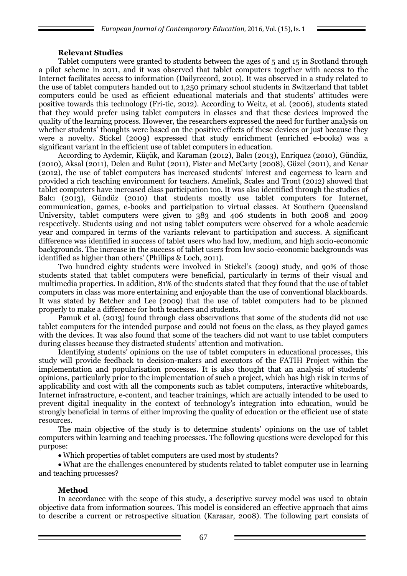#### **Relevant Studies**

Tablet computers were granted to students between the ages of 5 and 15 in Scotland through a pilot scheme in 2011, and it was observed that tablet computers together with access to the Internet facilitates access to information (Dailyrecord, 2010). It was observed in a study related to the use of tablet computers handed out to 1,250 primary school students in Switzerland that tablet computers could be used as efficient educational materials and that students' attitudes were positive towards this technology (Fri-tic, 2012). According to Weitz, et al. (2006), students stated that they would prefer using tablet computers in classes and that these devices improved the quality of the learning process. However, the researchers expressed the need for further analysis on whether students' thoughts were based on the positive effects of these devices or just because they were a novelty. Stickel (2009) expressed that study enrichment (enriched e-books) was a significant variant in the efficient use of tablet computers in education.

According to Aydemir, Küçük, and Karaman (2012), Balcı (2013), Enriquez (2010), Gündüz, (2010), Aksal (2011), Delen and Bulut (2011), Fister and McCarty (2008), Güzel (2011), and Kenar (2012), the use of tablet computers has increased students' interest and eagerness to learn and provided a rich teaching environment for teachers. Amelink, Scales and Tront (2012) showed that tablet computers have increased class participation too. It was also identified through the studies of Balcı (2013), Gündüz (2010) that students mostly use tablet computers for Internet, communication, games, e-books and participation to virtual classes. At Southern Queensland University, tablet computers were given to 383 and 406 students in both 2008 and 2009 respectively. Students using and not using tablet computers were observed for a whole academic year and compared in terms of the variants relevant to participation and success. A significant difference was identified in success of tablet users who had low, medium, and high socio-economic backgrounds. The increase in the success of tablet users from low socio-economic backgrounds was identified as higher than others' (Phillips & Loch, 2011).

Two hundred eighty students were involved in Stickel's (2009) study, and 90% of those students stated that tablet computers were beneficial, particularly in terms of their visual and multimedia properties. In addition, 81% of the students stated that they found that the use of tablet computers in class was more entertaining and enjoyable than the use of conventional blackboards. It was stated by Betcher and Lee (2009) that the use of tablet computers had to be planned properly to make a difference for both teachers and students.

Pamuk et al. (2013) found through class observations that some of the students did not use tablet computers for the intended purpose and could not focus on the class, as they played games with the devices. It was also found that some of the teachers did not want to use tablet computers during classes because they distracted students' attention and motivation.

Identifying students' opinions on the use of tablet computers in educational processes, this study will provide feedback to decision-makers and executors of the FATIH Project within the implementation and popularisation processes. It is also thought that an analysis of students' opinions, particularly prior to the implementation of such a project, which has high risk in terms of applicability and cost with all the components such as tablet computers, interactive whiteboards, Internet infrastructure, e-content, and teacher trainings, which are actually intended to be used to prevent digital inequality in the context of technology's integration into education, would be strongly beneficial in terms of either improving the quality of education or the efficient use of state resources.

The main objective of the study is to determine students' opinions on the use of tablet computers within learning and teaching processes. The following questions were developed for this purpose:

Which properties of tablet computers are used most by students?

 What are the challenges encountered by students related to tablet computer use in learning and teaching processes?

# **Method**

In accordance with the scope of this study, a descriptive survey model was used to obtain objective data from information sources. This model is considered an effective approach that aims to describe a current or retrospective situation (Karasar, 2008). The following part consists of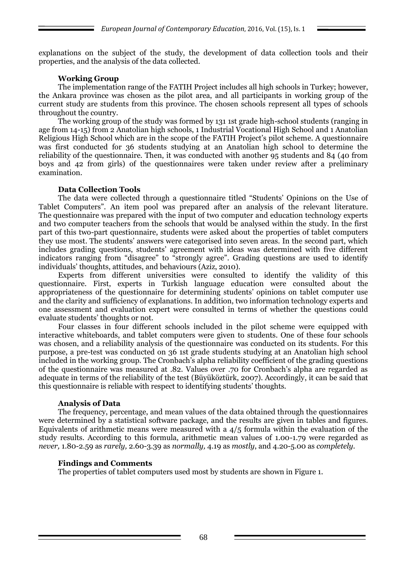explanations on the subject of the study, the development of data collection tools and their properties, and the analysis of the data collected.

# **Working Group**

The implementation range of the FATIH Project includes all high schools in Turkey; however, the Ankara province was chosen as the pilot area, and all participants in working group of the current study are students from this province. The chosen schools represent all types of schools throughout the country.

The working group of the study was formed by 131 1st grade high-school students (ranging in age from 14-15) from 2 Anatolian high schools, 1 Industrial Vocational High School and 1 Anatolian Religious High School which are in the scope of the FATIH Project's pilot scheme. A questionnaire was first conducted for 36 students studying at an Anatolian high school to determine the reliability of the questionnaire. Then, it was conducted with another 95 students and 84 (40 from boys and 42 from girls) of the questionnaires were taken under review after a preliminary examination.

#### **Data Collection Tools**

The data were collected through a questionnaire titled "Students' Opinions on the Use of Tablet Computers". An item pool was prepared after an analysis of the relevant literature. The questionnaire was prepared with the input of two computer and education technology experts and two computer teachers from the schools that would be analysed within the study. In the first part of this two-part questionnaire, students were asked about the properties of tablet computers they use most. The students' answers were categorised into seven areas. In the second part, which includes grading questions, students' agreement with ideas was determined with five different indicators ranging from "disagree" to "strongly agree". Grading questions are used to identify individuals' thoughts, attitudes, and behaviours (Aziz, 2010).

Experts from different universities were consulted to identify the validity of this questionnaire. First, experts in Turkish language education were consulted about the appropriateness of the questionnaire for determining students' opinions on tablet computer use and the clarity and sufficiency of explanations. In addition, two information technology experts and one assessment and evaluation expert were consulted in terms of whether the questions could evaluate students' thoughts or not.

Four classes in four different schools included in the pilot scheme were equipped with interactive whiteboards, and tablet computers were given to students. One of these four schools was chosen, and a reliability analysis of the questionnaire was conducted on its students. For this purpose, a pre-test was conducted on 36 1st grade students studying at an Anatolian high school included in the working group. The Cronbach's alpha reliability coefficient of the grading questions of the questionnaire was measured at .82. Values over .70 for Cronbach's alpha are regarded as adequate in terms of the reliability of the test (Büyüköztürk, 2007). Accordingly, it can be said that this questionnaire is reliable with respect to identifying students' thoughts.

# **Analysis of Data**

The frequency, percentage, and mean values of the data obtained through the questionnaires were determined by a statistical software package, and the results are given in tables and figures. Equivalents of arithmetic means were measured with a 4/5 formula within the evaluation of the study results. According to this formula, arithmetic mean values of 1.00-1.79 were regarded as *never,* 1.80-2.59 as *rarely,* 2.60-3.39 as *normally,* 4.19 as *mostly*, and 4.20-5.00 as *completely.*

# **Findings and Comments**

The properties of tablet computers used most by students are shown in Figure 1.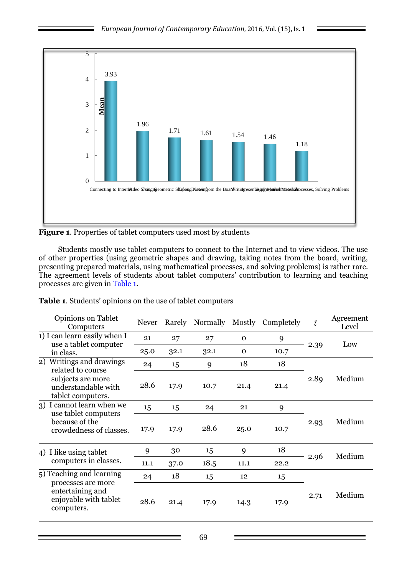

**Figure 1**. Properties of tablet computers used most by students

Students mostly use tablet computers to connect to the Internet and to view videos. The use of other properties (using geometric shapes and drawing, taking notes from the board, writing, presenting prepared materials, using mathematical processes, and solving problems) is rather rare. The agreement levels of students about tablet computers' contribution to learning and teaching processes are given in Table 1.

| Table 1. Students' opinions on the use of tablet computers |  |  |  |  |
|------------------------------------------------------------|--|--|--|--|
|------------------------------------------------------------|--|--|--|--|

| Opinions on Tablet<br>Computers                                                                                   | <b>Never</b> | Rarely | Normally | Mostly      | Completely | $\overline{\chi}$ | Agreement<br>Level |
|-------------------------------------------------------------------------------------------------------------------|--------------|--------|----------|-------------|------------|-------------------|--------------------|
| 1) I can learn easily when I<br>use a tablet computer                                                             | 21           | 27     | 27       | $\mathbf 0$ | 9          | 2.39              | Low                |
| in class.                                                                                                         | 25.0         | 32.1   | 32.1     | $\mathbf 0$ | 10.7       |                   |                    |
| Writings and drawings<br>2)<br>related to course<br>subjects are more<br>understandable with<br>tablet computers. | 24           | 15     | 9        | 18          | 18         |                   |                    |
|                                                                                                                   | 28.6         | 17.9   | 10.7     | 21.4        | 21.4       | 2.89              | Medium             |
| 3) I cannot learn when we<br>use tablet computers<br>because of the<br>crowdedness of classes.                    | 15           | 15     | 24       | 21          | 9          |                   |                    |
|                                                                                                                   | 17.9         | 17.9   | 28.6     | 25.0        | 10.7       | 2.93              | Medium             |
| 4) I like using tablet<br>computers in classes.                                                                   | 9            | 30     | 15       | 9           | 18         | 2.96              | Medium             |
|                                                                                                                   | 11.1         | 37.0   | 18.5     | 11.1        | 22.2       |                   |                    |
| 5) Teaching and learning<br>processes are more<br>entertaining and<br>enjoyable with tablet<br>computers.         | 24           | 18     | 15       | 12          | 15         |                   |                    |
|                                                                                                                   | 28.6         | 21.4   | 17.9     | 14.3        | 17.9       | 2.71              | Medium             |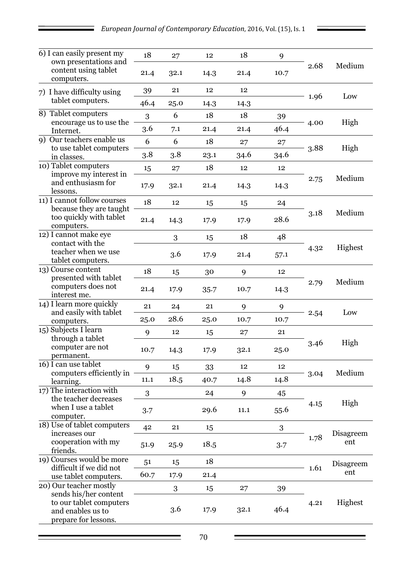| 6) I can easily present my                                                                    | 18   | 27   | 12   | 18   | 9    |      |                  |
|-----------------------------------------------------------------------------------------------|------|------|------|------|------|------|------------------|
| own presentations and<br>content using tablet<br>computers.                                   | 21.4 | 32.1 | 14.3 | 21.4 | 10.7 | 2.68 | Medium           |
| 7) I have difficulty using<br>tablet computers.                                               | 39   | 21   | 12   | 12   |      | 1.96 | Low              |
| 8) Tablet computers                                                                           | 46.4 | 25.0 | 14.3 | 14.3 |      |      |                  |
| encourage us to use the                                                                       | 3    | 6    | 18   | 18   | 39   | 4.00 | High             |
| Internet.                                                                                     | 3.6  | 7.1  | 21.4 | 21.4 | 46.4 |      |                  |
| Our teachers enable us<br><b>9</b> )                                                          | 6    | 6    | 18   | 27   | 27   | 3.88 | High             |
| to use tablet computers<br>in classes.                                                        | 3.8  | 3.8  | 23.1 | 34.6 | 34.6 |      |                  |
| 10) Tablet computers                                                                          | 15   | 27   | 18   | 12   | 12   |      |                  |
| improve my interest in<br>and enthusiasm for<br>lessons.                                      | 17.9 | 32.1 | 21.4 | 14.3 | 14.3 | 2.75 | Medium           |
| 11) I cannot follow courses                                                                   | 18   | 12   | 15   | 15   | 24   |      |                  |
| because they are taught<br>too quickly with tablet<br>computers.                              | 21.4 | 14.3 | 17.9 | 17.9 | 28.6 | 3.18 | Medium           |
| 12) I cannot make eye                                                                         |      | 3    | 15   | 18   | 48   |      |                  |
| contact with the<br>teacher when we use<br>tablet computers.                                  |      | 3.6  | 17.9 | 21.4 | 57.1 | 4.32 | Highest          |
| 13) Course content                                                                            | 18   | 15   | 30   | 9    | 12   |      | Medium           |
| presented with tablet<br>computers does not<br>interest me.                                   | 21.4 | 17.9 | 35.7 | 10.7 | 14.3 | 2.79 |                  |
| 14) I learn more quickly                                                                      | 21   | 24   | 21   | 9    | 9    |      | Low              |
| and easily with tablet<br>computers.                                                          | 25.0 | 28.6 | 25.0 | 10.7 | 10.7 | 2.54 |                  |
| 15) Subjects I learn                                                                          | 9    | 12   | 15   | 27   | 21   |      |                  |
| through a tablet<br>computer are not<br>permanent.                                            | 10.7 | 14.3 | 17.9 | 32.1 | 25.0 | 3.46 | High             |
| 16) I can use tablet                                                                          | 9    | 15   | 33   | 12   | 12   |      | Medium           |
| computers efficiently in<br>learning.                                                         | 11.1 | 18.5 | 40.7 | 14.8 | 14.8 | 3.04 |                  |
| 17) The interaction with                                                                      | 3    |      | 24   | 9    | 45   |      |                  |
| the teacher decreases<br>when I use a tablet<br>computer.                                     | 3.7  |      | 29.6 | 11.1 | 55.6 | 4.15 | High             |
| 18) Use of tablet computers                                                                   | 42   | 21   | 15   |      | 3    |      | Disagreem<br>ent |
| increases our<br>cooperation with my<br>friends.                                              | 51.9 | 25.9 | 18.5 |      | 3.7  | 1.78 |                  |
| 19) Courses would be more                                                                     | 51   | 15   | 18   |      |      | 1.61 | Disagreem        |
| difficult if we did not<br>use tablet computers.                                              | 60.7 | 17.9 | 21.4 |      |      |      | ent              |
| 20) Our teacher mostly                                                                        |      | 3    | 15   | 27   | 39   |      |                  |
| sends his/her content<br>to our tablet computers<br>and enables us to<br>prepare for lessons. |      | 3.6  | 17.9 | 32.1 | 46.4 | 4.21 | Highest          |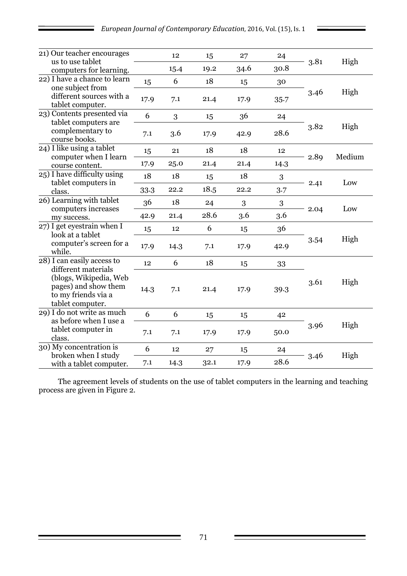Ξ

| 21) Our teacher encourages                                                                |      | 12   | 15   | 27   | 24   | 3.81 | High   |
|-------------------------------------------------------------------------------------------|------|------|------|------|------|------|--------|
| us to use tablet<br>computers for learning.                                               |      | 15.4 | 19.2 | 34.6 | 30.8 |      |        |
| 22) I have a chance to learn<br>one subject from                                          | 15   | 6    | 18   | 15   | 30   |      |        |
| different sources with a<br>tablet computer.                                              | 17.9 | 7.1  | 21.4 | 17.9 | 35.7 | 3.46 | High   |
| 23) Contents presented via                                                                | 6    | 3    | 15   | 36   | 24   |      |        |
| tablet computers are<br>complementary to<br>course books.                                 | 7.1  | 3.6  | 17.9 | 42.9 | 28.6 | 3.82 | High   |
| 24) I like using a tablet                                                                 | 15   | 21   | 18   | 18   | 12   |      |        |
| computer when I learn<br>course content.                                                  | 17.9 | 25.0 | 21.4 | 21.4 | 14.3 | 2.89 | Medium |
| 25) I have difficulty using                                                               | 18   | 18   | 15   | 18   | 3    | 2.41 | Low    |
| tablet computers in<br>class.                                                             | 33.3 | 22.2 | 18.5 | 22.2 | 3.7  |      |        |
| 26) Learning with tablet<br>computers increases                                           | 36   | 18   | 24   | 3    | 3    | 2.04 | Low    |
| my success.                                                                               | 42.9 | 21.4 | 28.6 | 3.6  | 3.6  |      |        |
| 27) I get eyestrain when I                                                                | 15   | 12   | 6    | 15   | 36   | 3.54 | High   |
| look at a tablet<br>computer's screen for a<br>while.                                     | 17.9 | 14.3 | 7.1  | 17.9 | 42.9 |      |        |
| 28) I can easily access to<br>different materials                                         | 12   | 6    | 18   | 15   | 33   |      |        |
| (blogs, Wikipedia, Web<br>pages) and show them<br>to my friends via a<br>tablet computer. | 14.3 | 7.1  | 21.4 | 17.9 | 39.3 | 3.61 | High   |
| 29) I do not write as much                                                                | 6    | 6    | 15   | 15   | 42   |      |        |
| as before when I use a<br>tablet computer in<br>class.                                    | 7.1  | 7.1  | 17.9 | 17.9 | 50.0 | 3.96 | High   |
| 30) My concentration is                                                                   | 6    | 12   | 27   | 15   | 24   | 3.46 |        |
| broken when I study<br>with a tablet computer.                                            | 7.1  | 14.3 | 32.1 | 17.9 | 28.6 |      | High   |

The agreement levels of students on the use of tablet computers in the learning and teaching process are given in Figure 2.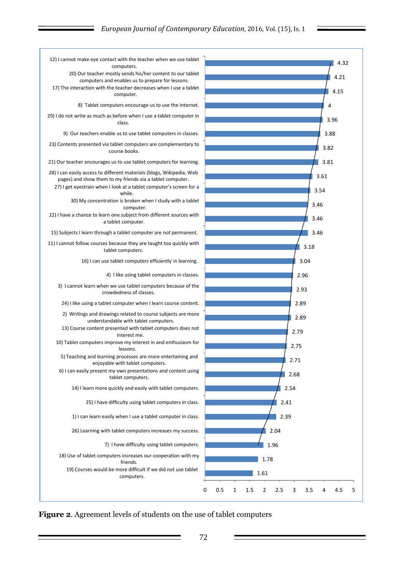

**Figure 2**. Agreement levels of students on the use of tablet computers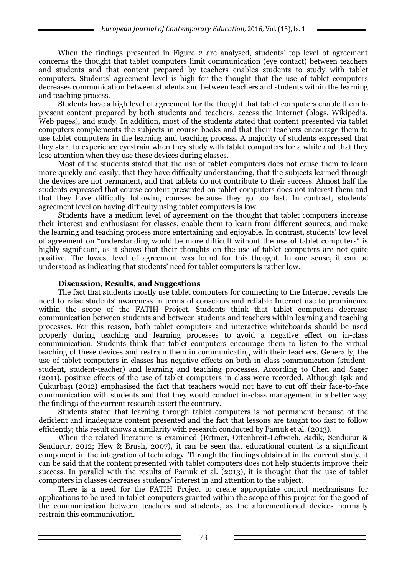When the findings presented in Figure 2 are analysed, students' top level of agreement concerns the thought that tablet computers limit communication (eye contact) between teachers and students and that content prepared by teachers enables students to study with tablet computers. Students' agreement level is high for the thought that the use of tablet computers decreases communication between students and between teachers and students within the learning and teaching process.

Students have a high level of agreement for the thought that tablet computers enable them to present content prepared by both students and teachers, access the Internet (blogs, Wikipedia, Web pages), and study. In addition, most of the students stated that content presented via tablet computers complements the subjects in course books and that their teachers encourage them to use tablet computers in the learning and teaching process. A majority of students expressed that they start to experience eyestrain when they study with tablet computers for a while and that they lose attention when they use these devices during classes.

Most of the students stated that the use of tablet computers does not cause them to learn more quickly and easily, that they have difficulty understanding, that the subjects learned through the devices are not permanent, and that tablets do not contribute to their success. Almost half the students expressed that course content presented on tablet computers does not interest them and that they have difficulty following courses because they go too fast. In contrast, students' agreement level on having difficulty using tablet computers is low.

Students have a medium level of agreement on the thought that tablet computers increase their interest and enthusiasm for classes, enable them to learn from different sources, and make the learning and teaching process more entertaining and enjoyable. In contrast, students' low level of agreement on "understanding would be more difficult without the use of tablet computers" is highly significant, as it shows that their thoughts on the use of tablet computers are not quite positive. The lowest level of agreement was found for this thought. In one sense, it can be understood as indicating that students' need for tablet computers is rather low.

#### **Discussion, Results, and Suggestions**

The fact that students mostly use tablet computers for connecting to the Internet reveals the need to raise students' awareness in terms of conscious and reliable Internet use to prominence within the scope of the FATIH Project. Students think that tablet computers decrease communication between students and between students and teachers within learning and teaching processes. For this reason, both tablet computers and interactive whiteboards should be used properly during teaching and learning processes to avoid a negative effect on in-class communication. Students think that tablet computers encourage them to listen to the virtual teaching of these devices and restrain them in communicating with their teachers. Generally, the use of tablet computers in classes has negative effects on both in-class communication (studentstudent, student-teacher) and learning and teaching processes. According to Chen and Sager (2011), positive effects of the use of tablet computers in class were recorded. Although Işık and Çukurbaşı (2012) emphasised the fact that teachers would not have to cut off their face-to-face communication with students and that they would conduct in-class management in a better way, the findings of the current research assert the contrary.

Students stated that learning through tablet computers is not permanent because of the deficient and inadequate content presented and the fact that lessons are taught too fast to follow efficiently; this result shows a similarity with research conducted by Pamuk et al. (2013).

When the related literature is examined (Ertmer, Ottenbreit-Leftwich, Sadik, Sendurur & Sendurur, 2012; Hew & Brush, 2007), it can be seen that educational content is a significant component in the integration of technology. Through the findings obtained in the current study, it can be said that the content presented with tablet computers does not help students improve their success. In parallel with the results of Pamuk et al. (2013), it is thought that the use of tablet computers in classes decreases students' interest in and attention to the subject.

There is a need for the FATIH Project to create appropriate control mechanisms for applications to be used in tablet computers granted within the scope of this project for the good of the communication between teachers and students, as the aforementioned devices normally restrain this communication.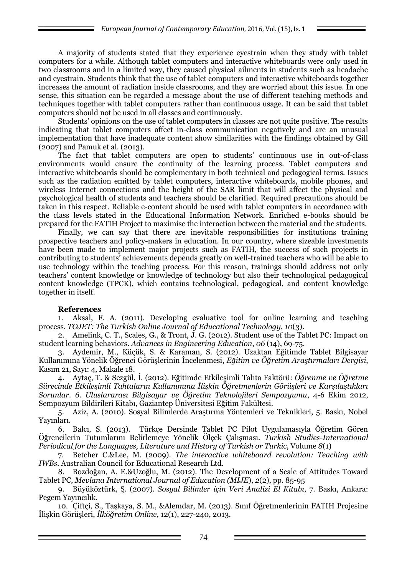A majority of students stated that they experience eyestrain when they study with tablet computers for a while. Although tablet computers and interactive whiteboards were only used in two classrooms and in a limited way, they caused physical ailments in students such as headache and eyestrain. Students think that the use of tablet computers and interactive whiteboards together increases the amount of radiation inside classrooms, and they are worried about this issue. In one sense, this situation can be regarded a message about the use of different teaching methods and techniques together with tablet computers rather than continuous usage. It can be said that tablet computers should not be used in all classes and continuously.

Students' opinions on the use of tablet computers in classes are not quite positive. The results indicating that tablet computers affect in-class communication negatively and are an unusual implementation that have inadequate content show similarities with the findings obtained by Gill (2007) and Pamuk et al. (2013).

The fact that tablet computers are open to students' continuous use in out-of-class environments would ensure the continuity of the learning process. Tablet computers and interactive whiteboards should be complementary in both technical and pedagogical terms. Issues such as the radiation emitted by tablet computers, interactive whiteboards, mobile phones, and wireless Internet connections and the height of the SAR limit that will affect the physical and psychological health of students and teachers should be clarified. Required precautions should be taken in this respect. Reliable e-content should be used with tablet computers in accordance with the class levels stated in the Educational Information Network. Enriched e-books should be prepared for the FATIH Project to maximise the interaction between the material and the students.

Finally, we can say that there are inevitable responsibilities for institutions training prospective teachers and policy-makers in education. In our country, where sizeable investments have been made to implement major projects such as FATIH, the success of such projects in contributing to students' achievements depends greatly on well-trained teachers who will be able to use technology within the teaching process. For this reason, trainings should address not only teachers' content knowledge or knowledge of technology but also their technological pedagogical content knowledge (TPCK), which contains technological, pedagogical, and content knowledge together in itself.

# **References**

1. Aksal, F. A. (2011). Developing evaluative tool for online learning and teaching process. *TOJET: The Turkish Online Journal of Educational Technology*, *10*(3).

2. Amelink, C. T., Scales, G., & Tront, J. G. (2012). Student use of the Tablet PC: Impact on student learning behaviors. *Advances in Engineering Education*, *06* (14), 69-75.

3. Aydemir, M., Küçük, S. & Karaman, S. (2012). Uzaktan Eğitimde Tablet Bilgisayar Kullanımına Yönelik Öğrenci Görüşlerinin İncelenmesi, *Eğitim ve Öğretim Araştırmaları Dergisi*, Kasım 21, Sayı: 4, Makale 18.

4. Aytaç, T. & Sezgül, İ. (2012). Eğitimde Etkileşimli Tahta Faktörü: *Öğrenme ve Öğretme Sürecinde Etkileşimli Tahtaların Kullanımına İlişkin Öğretmenlerin Görüşleri ve Karşılaştıkları Sorunlar. 6. Uluslararası Bilgisayar ve Öğretim Teknolojileri Sempozyumu*, 4-6 Ekim 2012, Sempozyum Bildirileri Kitabı, Gaziantep Üniversitesi Eğitim Fakültesi.

5. Aziz, A. (2010). Sosyal Bilimlerde Araştırma Yöntemleri ve Teknikleri, 5. Baskı, Nobel Yayınları.

6. Balcı, S. (2013). Türkçe Dersinde Tablet PC Pilot Uygulamasıyla Öğretim Gören Öğrencilerin Tutumlarını Belirlemeye Yönelik Ölçek Çalışması. *Turkish Studies-International Periodical for the Languages, Literature and History of Turkish or Turkic, Volume 8(1)* 

7. Betcher C.&Lee, M. (2009). *The interactive whiteboard revolution: Teaching with IWBs*. Australian Council for Educational Research Ltd.

8. Bozdoğan, A. E.&Uzoğlu, M. (2012). The Development of a Scale of Attitudes Toward Tablet PC, *Mevlana International Journal of Education (MIJE*), *2*(2), pp. 85-95

9. Büyüköztürk, Ş. (2007). *Sosyal Bilimler için Veri Analizi El Kitabı*, 7. Baskı, Ankara: Pegem Yayıncılık.

10. Çiftçi, S., Taşkaya, S. M., &Alemdar, M. (2013). Sınıf Öğretmenlerinin FATIH Projesine İlişkin Görüşleri, *İlköğretim Online*, 12(1), 227-240, 2013.